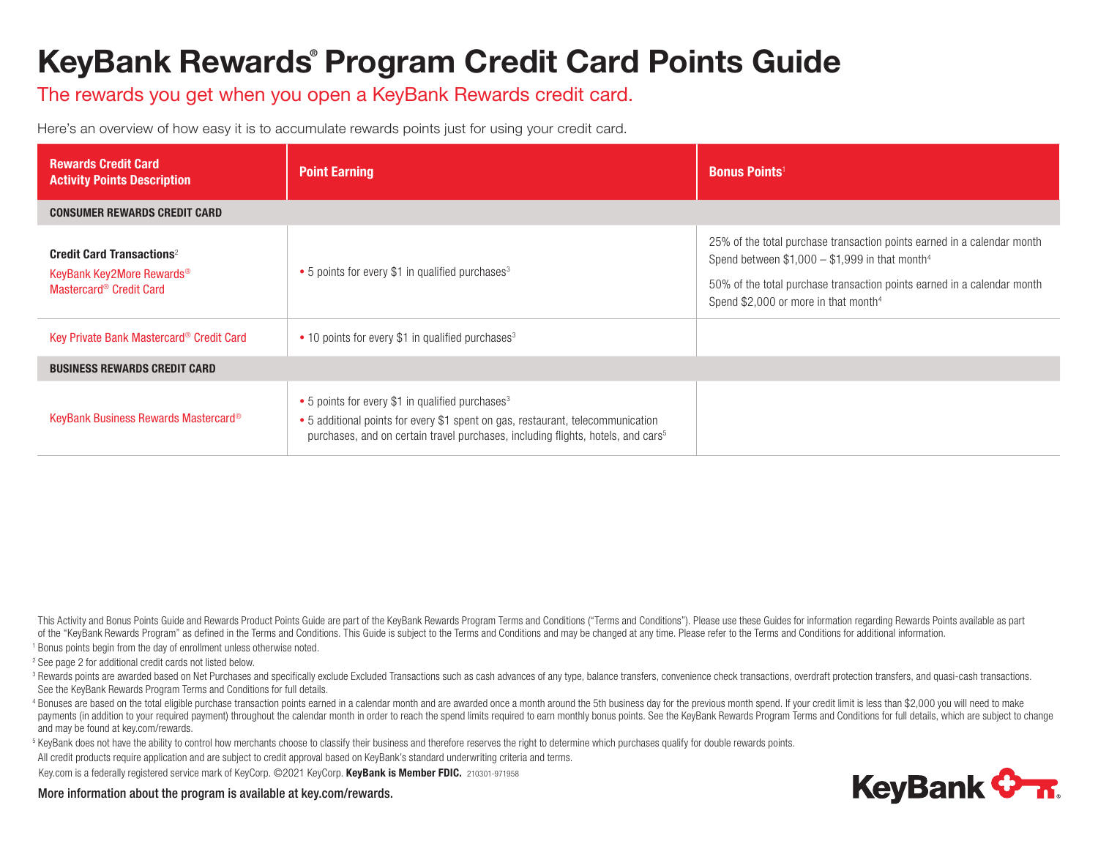## KeyBank Rewards® Program Credit Card Points Guide

## The rewards you get when you open a KeyBank Rewards credit card.

Here's an overview of how easy it is to accumulate rewards points just for using your credit card.

| <b>Rewards Credit Card</b><br><b>Activity Points Description</b>                                                             | <b>Point Earning</b>                                                                                                                                                                                                                                    | <b>Bonus Points</b>                                                                                                                                                                                                                                                   |  |  |
|------------------------------------------------------------------------------------------------------------------------------|---------------------------------------------------------------------------------------------------------------------------------------------------------------------------------------------------------------------------------------------------------|-----------------------------------------------------------------------------------------------------------------------------------------------------------------------------------------------------------------------------------------------------------------------|--|--|
| <b>CONSUMER REWARDS CREDIT CARD</b>                                                                                          |                                                                                                                                                                                                                                                         |                                                                                                                                                                                                                                                                       |  |  |
| <b>Credit Card Transactions</b> <sup>2</sup><br>KeyBank Key2More Rewards <sup>®</sup><br>Mastercard <sup>®</sup> Credit Card | $\bullet$ 5 points for every \$1 in qualified purchases <sup>3</sup>                                                                                                                                                                                    | 25% of the total purchase transaction points earned in a calendar month<br>Spend between $$1,000 - $1,999$ in that month <sup>4</sup><br>50% of the total purchase transaction points earned in a calendar month<br>Spend $$2,000$ or more in that month <sup>4</sup> |  |  |
| Key Private Bank Mastercard® Credit Card                                                                                     | • 10 points for every \$1 in qualified purchases <sup>3</sup>                                                                                                                                                                                           |                                                                                                                                                                                                                                                                       |  |  |
| <b>BUSINESS REWARDS CREDIT CARD</b>                                                                                          |                                                                                                                                                                                                                                                         |                                                                                                                                                                                                                                                                       |  |  |
| KeyBank Business Rewards Mastercard <sup>®</sup>                                                                             | $\bullet$ 5 points for every \$1 in qualified purchases <sup>3</sup><br>• 5 additional points for every \$1 spent on gas, restaurant, telecommunication<br>purchases, and on certain travel purchases, including flights, hotels, and cars <sup>5</sup> |                                                                                                                                                                                                                                                                       |  |  |

This Activity and Bonus Points Guide and Rewards Product Points Guide are part of the KeyBank Rewards Program Terms and Conditions ("Terms and Conditions"). Please use these Guides for information regarding Rewards Points of the "KeyBank Rewards Program" as defined in the Terms and Conditions. This Guide is subject to the Terms and Conditions and may be changed at any time. Please refer to the Terms and Conditions for additional information. <sup>1</sup> Bonus points begin from the day of enrollment unless otherwise noted.

<sup>2</sup> See page 2 for additional credit cards not listed below.

<sup>3</sup> Rewards points are awarded based on Net Purchases and specifically exclude Excluded Transactions such as cash advances of any type, balance transfers, convenience check transactions, overdraft protection transfers, and See the KeyBank Rewards Program Terms and Conditions for full details.

4 Bonuses are based on the total eligible purchase transaction points earned in a calendar month and are awarded once a month around the 5th business day for the previous month spend. If your credit limit is less than \$2,0 payments (in addition to your required payment) throughout the calendar month in order to reach the spend limits required to earn monthly bonus points. See the KeyBank Rewards Program Terms and Conditions for full details, and may be found at key.com/rewards.

<sup>5</sup> KeyBank does not have the ability to control how merchants choose to classify their business and therefore reserves the right to determine which purchases qualify for double rewards points.

All credit products require application and are subject to credit approval based on KeyBank's standard underwriting criteria and terms.

Key.com is a federally registered service mark of KeyCorp. ©2021 KeyCorp. KeyBank is Member FDIC. 210301-971958

More information about the program is available at key.com/rewards.